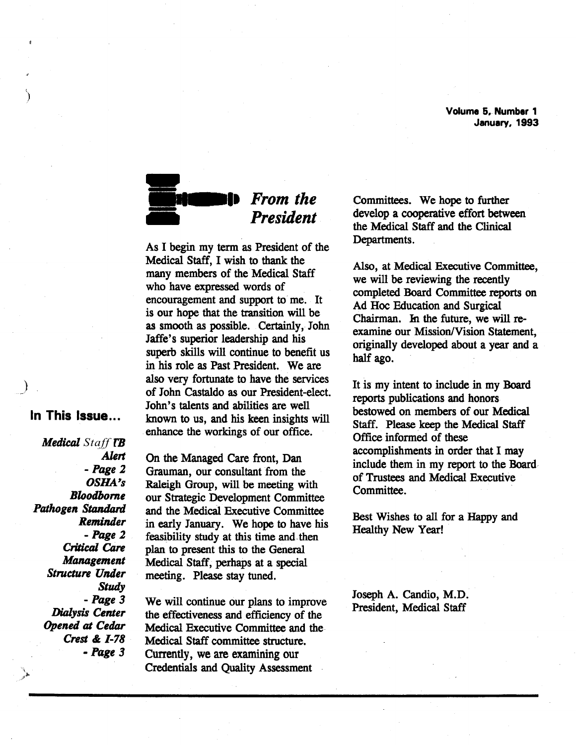Volume 5. Number 1 January. 1993



## *From the President*

As I begin my term as President of the Medical Staff, I wish to thank the many members of the Medical Staff who have expressed words of encouragement and support to me. It is our hope that the transition will be as smooth as possible. Certainly, John Jaffe's superior leadership and his superb skills will continue to benefit us in his role as Past President. We are also very fortunate to have the services of John Castaldo as our President-elect. John's talents and abilities are well known to us, and his keen insights will enhance the workings of our office.

#### In This Issue ...

)

')

*Medical Staff TB*   $A$ *lert -Page 2 OSHA"s Bloodbome Pathogen* Standard *Reminder -Page* 2 *Critical Care Management Structure Under Study -Page 3 Dialysis Center Opened* at *Cedar Crest* & *1-78 -Page 3* 

On the Managed Care front, Dan Grauman, our consultant from the Raleigh Group, will be meeting with our Strategic Development Committee and the Medical Executive Committee in early January. We hope to have his feasibility study at this time and then plan to present this to the General Medical Staff, perhaps at a special meeting. Please stay tuned.

We will continue our plans to improve the effectiveness and efficiency of the Medical Executive Committee and the Medical Staff committee structure. Currently, we are examining our Credentials and Quality Assessment

Committees. We hope to further develop a cooperative effort between the Medical Staff and the Clinical Departments.

Also, at Medical Executive Committee, we will be reviewing the recently completed Board Committee reports on Ad Hoc Education and Surgical Chairman. In the future, we will reexamine our Mission/Vision Statement, originally developed about a year and a half ago.

It is my intent to include in my Board reports publications and honors bestowed on members of our Medical Staff. Please keep the Medical Staff Office informed of these accomplishments in order that I may include them in my report to the Board· of Trustees and Medical Executive Committee.

Best Wishes to all for a Happy and Healthy New Year!

Joseph A. Candio, M.D. President, Medical Staff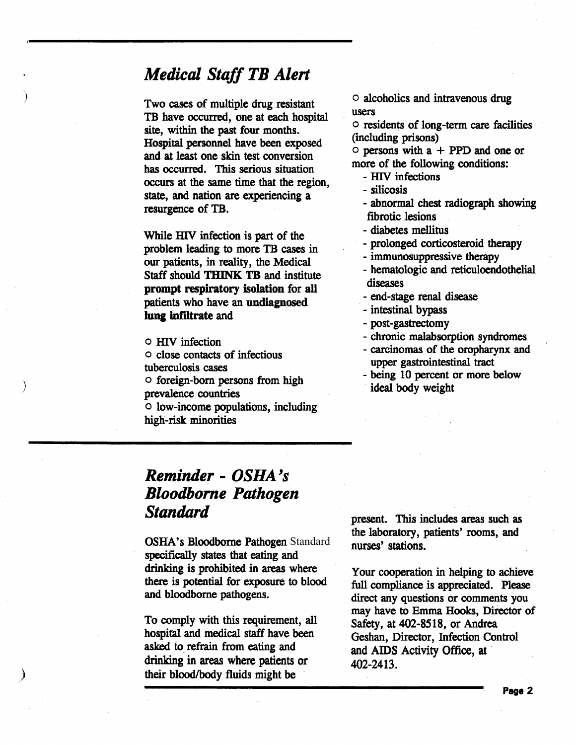### *Medical Staff TB Alert*

)

)

Two cases of multiple drug resistant TB have occurred, one at each hospital site, within the past four months. Hospital personnel have been exposed and at least one skin test conversion has occurred. This serious situation occurs at the same time that the region, state, and nation are experiencing a resurgence of TB.

While HIV infection is part of the problem leading to more TB cases in our patients, in reality, the Medical Staff should THINK TB and institute prompt respiratory isolation for all patients who have an undiagnosed lung infiltrate and

o HlV infection

- o close contacts of infectious tuberculosis cases
- o foreign-born persons from high prevalence countries

o low-income populations, including high-risk minorities

o alcoholics and intravenous drug users

o residents of long-term care facilities (including prisons)

 $\circ$  persons with a + PPD and one or more of the following conditions: - HIV infections

- 
- 

-silicosis - abnormal chest radiograph showing fibrotic lesions

- diabetes mellitus<br>- prolonged corticosteroid therapy<br>- immunosuppressive therapy<br>- hematologic and reticuloendothelial diseases

- end-stage renal disease
- intestinal bypass
- 
- -post-gastrectomy chronic malabsorption syndromes carcinomas of the oropharynx and
- upper gastrointestinal tract
- being 10 percent or more below ideal body weight

## *Reminder*  - *OSHA's Bloodbome Pathogen Standard*

OSHA's Bloodborne Pathogen Standard specifically states that eating and drinking is prohibited in areas where there is potential for exposure to blood and bloodbome pathogens.

To comply with this requirement, all hospital and medical staff have been asked to refrain from eating and drinking in areas where patients or their blood/body fluids might be

present. This includes areas such as the laboratory, patients' rooms, and nurses' stations.

Your cooperation in helping to achieve full compliance is appreciated. Please direct any questions or comments you may have to Emma Hooks, Director of Safety, at 402-8518, or Andrea Geshan, Director, Infection Control and AIDS Activity Office, at 402-2413.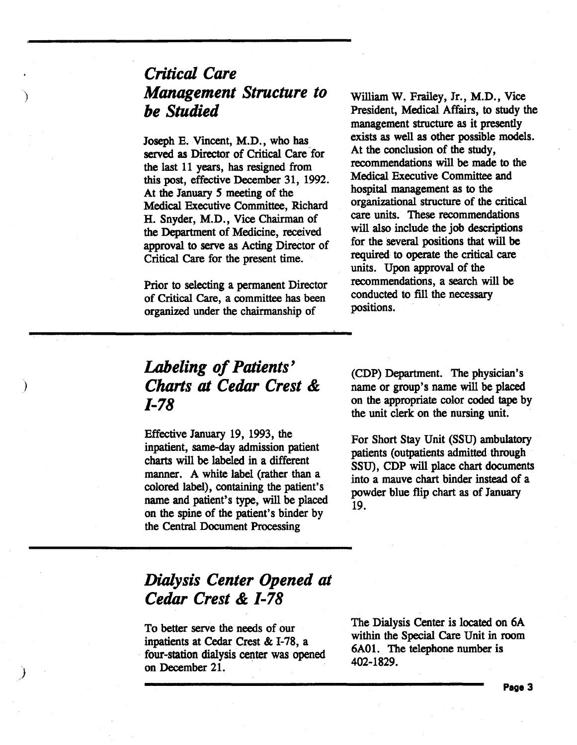# *Critical Care Management Structure to be Studied*

)

)

)

Joseph E. Vincent, M.D., who has served as Director of Critical Care for the last 11 years, has resigned from this post, effective December 31, 1992. At the January *5* meeting of the Medical Executive Committee, Richard H. Snyder, M.D., Vice Chairman of the Department of Medicine, received approval to serve as Acting Director of Critical Care for the present time.

Prior to selecting a permanent Director of Critical Care, a committee has been organized under the chairmanship of

William W. Frailey, Jr., M.D., Vice President, Medical Affairs, to study the management structure as it presently exists as well as other possible models. At the conclusion of the study, recommendations will be made to the Medical Executive Committee and hospital management as to the organizational structure of the critical care units. These recommendations will also include the job descriptions for the several positions that will be required to operate the critical care units. Upon approval of the recommendations, a search will be conducted to fill the necessary positions.

# *Labeling of Patients' Charts at Cedar Crest* & *1-78*

Effective January 19, 1993, the inpatient, same-day admission patient charts will be labeled in a different manner. A white label (rather than a colored label), containing the patient's name and patient's type, will be placed on the spine of the patient's binder by the Central Document Processing

(CDP) Department. The physician's name or group's name will be placed on the appropriate color coded tape by the unit clerk on the nursing unit.

For Short Stay Unit (SSU) ambulatory patients (outpatients admitted. through SSU), CDP will place chart documents into a mauve chart binder instead of a powder blue flip chart as of January 19.

## *Dialysis Center Opened at Cedar Crest* **&** *1-78*

To better serve the needs of our<br>inpatients at Cedar Crest & I-78, a four-station dialysis center was opened on December 21.

The Dialysis Center is located on 6A within the Special Care Unit in room 6A01. The telephone number is 402-1829.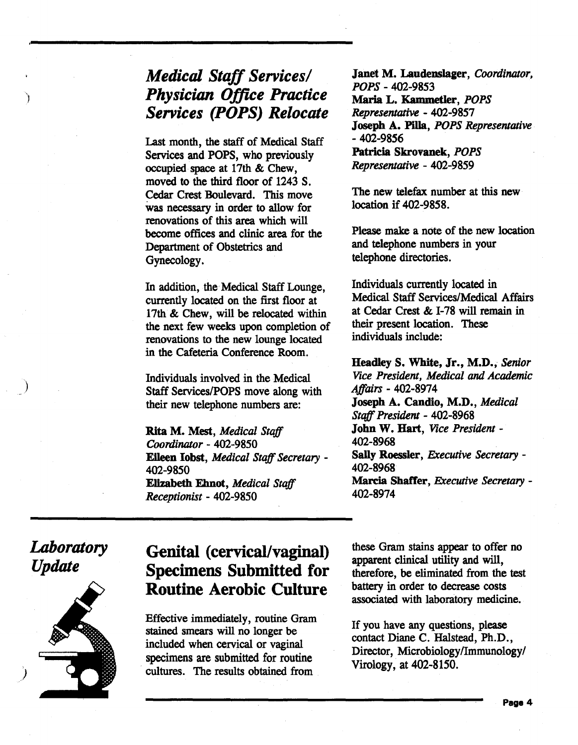# *Medical Staff Services/ Physician Office Practice Services (POPS) Relocate*

Last month, the staff of Medical Staff Services and POPS, who previously occupied space at 17th & Chew, moved to the third floor of 1243 S. Cedar Crest Boulevard. This move was necessary in order to allow for renovations of this area which will become offices and clinic area for the Department of Obstetrics and Gynecology.

In addition, the Medical Staff Lounge, currently located on the first floor at 17th & Chew, will be relocated within the next few weeks upon completion of renovations to the new lounge located in the Cafeteria Conference Room.

Individuals involved in the Medical Staff Services/POPS move along with their new telephone numbers are:

Rita M. Mest, *Medical Staff Coordinlltor* - 402-9850 Eileen Jobst, *Medical Staff Secretary* - 402-9850 Elizabeth Ehnot, *Medical Staff Receptionist* - 402-9850

Janet M. Laudenslager, *Coordinator*, *POPS-* 402-9853 Maria L. Kammetler, *POPS Representative* - 402-9857 Joseph A. Pilla, *POPS Representative*  - 402-9856 Patricia Skrovanek, *POPS Representative* - 402-9859

The new telefax number at this new location if 402-9858.

Please make a note of the new location and telephone numbers in your telephone directories.

Individuals currently located in Medical Staff Services/Medical Affairs at Cedar Crest & I-78 will remain in their present location. These individuals include:

Headley S. White, Jr., M.D., *Senior Vice President, Medical* and *Academic Affairs-* 402-8974 Joseph A. Candio, M.D., *Medical Staff President* - 402-8968 John W. Hart, *Vice President-*402-8968 Sally Roessler, *Executive Secretary* - 402-8968 Marcia Shaffer, *Executive Secretary* - 402-8974

*Laboratory Update* 

)



# Genital (cervical/vaginal) Specimens Submitted for Routine Aerobic Culture

Effective immediately, routine Gram stained smears will no longer be included when cervical or vaginal specimens are submitted for routine cultures. The results obtained from

these Gram stains appear to offer no apparent clinical utility and will, therefore, be eliminated from the test battery in order to decrease costs associated with laboratory medicine.

If you have any questions, please contact Diane C. Halstead, Ph.D., Director, Microbiology/Immunology/ Virology, at 402-8150.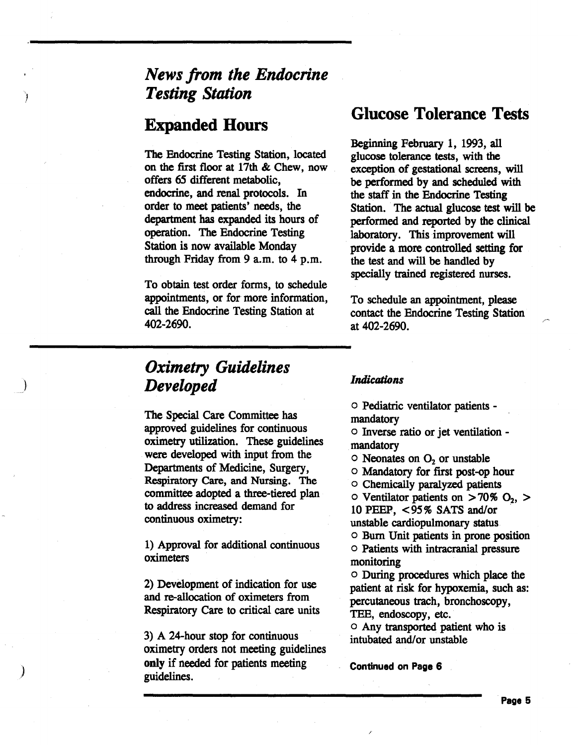# *News from the Endocrine Testing Station*

## Expanded Hours

The Endocrine Testing Station, located on the first floor at 17th & Chew, now offers *65* different metabolic, endocrine, and renal protocols. In order to meet patients' needs, the department has expanded its hours of operation. The Endocrine Testing Station is now available Monday through Friday from 9 a.m. to 4 p.m.

To obtain test order forms, to schedule appointments, or for more information, call the Endocrine Testing Station at 402-2690.

## *Oximetry Guidelines Developed*

The Special Care Committee has approved guidelines for continuous oximetry utilization. These guidelines were developed with input from the Departments of Medicine, Surgery, Respiratory Care, and Nursing. The committee adopted a three-tiered plan to address increased demand for continuous oximetry:

1) Approval for additional continuous oximeters

2) Development of indication for use and re-allocation of oximeters from Respiratory Care to critical care units

3) A 24-hour stop for continuous oximetry orders not meeting guidelines only if needed for patients meeting guidelines.

)

### Glucose Tolerance Tests

Beginning February 1, 1993, all glucose tolerance tests, with the exception of gestational screens, will be performed by and scheduled with the staff in the Endocrine Testing Station. The actual glucose test will be performed and reported by the clinical laboratory. This improvement will provide a more controlled setting for the test and will be handled by specially trained registered nurses.

To schedule an appointment, please contact the Endocrine Testing Station at 402-2690.

#### *Indications*

o Pediatric ventilator patients mandatory

o Inverse ratio or jet ventilation mandatory

 $\circ$  Neonates on  $O_2$  or unstable

o Mandatory for first post-op hour

o Chemically paralyzed patients

 $\circ$  Ventilator patients on  $>70\%$  O<sub>2</sub>,  $>$ 10 PEEP, <95% SATS and/or unstable cardiopulmonary status. o Burn Unit patients in prone position

o Patients with intracranial pressure monitoring

o During procedures which place the patient at risk for hypoxemia, such as: percutaneous trach, bronchoscopy, TEE, endoscopy, etc.

o Any transported patient who is intubated and/or unstable

Continued on Page 6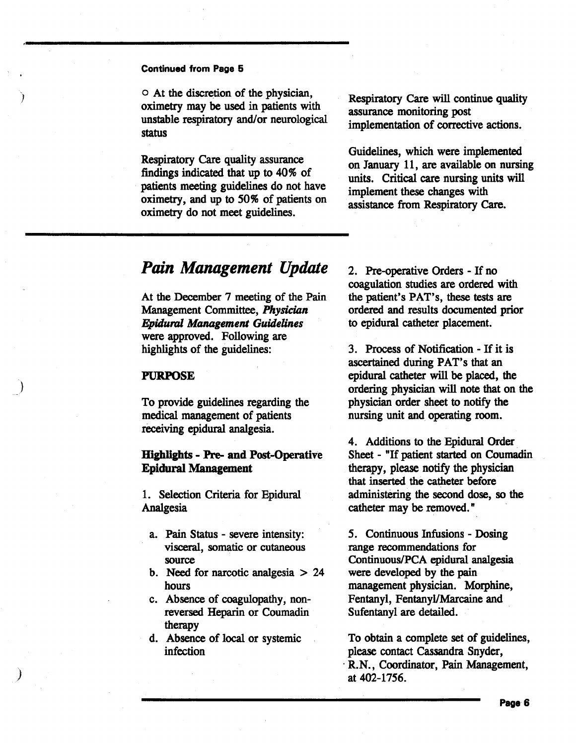#### Continued from Page 5

)

)

)

o At the discretion of the physician, oximetry may be used in patients with unstable respiratory and/or neurological status

Respiratory Care quality assurance findings indicated that up to 40% of patients meeting guidelines do not have oximetry, and up to 50% of patients on oximetry do not meet guidelines.

Respiratory Care will continue quality assurance monitoring post implementation of corrective actions.

Guidelines, which were implemented on January 11, are available on nursing units. Critical care nursing units will implement these changes with assistance from Respiratory Care.

#### *Pain Management Update*

At the December 7 meeting of the Pain Management Committee, Physician *Epidural Management Guidelines*  were approved. Following are highlights of the guidelines:

#### PURPOSE

To provide guidelines regarding the medical management of patients receiving epidural analgesia.

#### Hiplipts - Pre- and Post-Operative Epidural Management

1. Selection Criteria for Epidural Analgesia

- a. Pain Status severe intensity: visceral, somatic or cutaneous source
- b. Need for narcotic analgesia > 24 hours
- c. Absence of coagulopathy, nonreversed Heparin or Coumadin therapy
- d. Absence of local or systemic infection

2. Pre-operative Orders - If no coagulation studies are ordered with the patient's PAT's, these tests are ordered and results documented prior to epidural catheter placement.

3. Process of Notification- If it is ascertained during PAT's that an epidural catheter will be placed, the ordering physician will note that on the physician order sheet to notify the nursing unit and operating room.

4. Additions to the Epidural Order Sheet - "If patient started on Coumadin therapy, please notify the physician that inserted the catheter before administering the second dose, so the catheter may be removed."

*5.* Continuous Infusions - Dosing range recommendations for Continuous/PCA epidural analgesia were developed by the pain management physician. Morphine, Fentanyl, Fentanyl/Marcaine and Sufentanyl are detailed.

To obtain a complete set of guidelines, please contact Cassandra Snyder, · R.N., Coordinator, Pain Management, at 402-1756.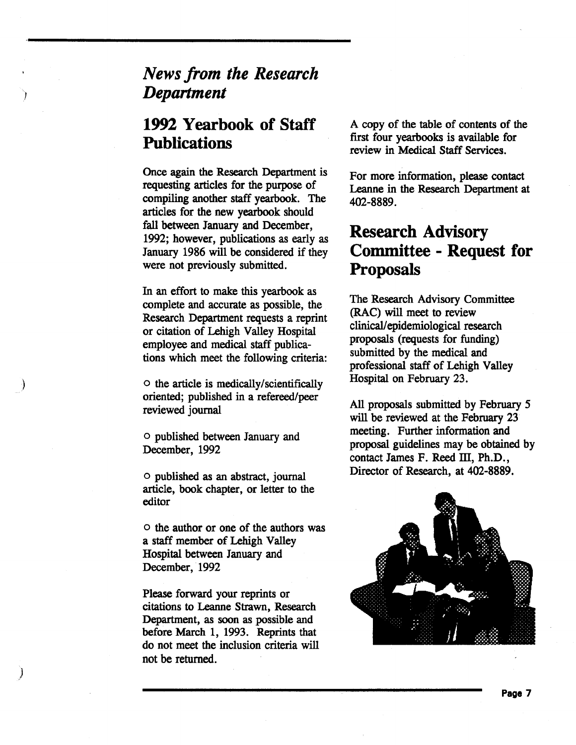# *News from the Research Department*

# **1992 Yearbook of Staff Publications**

Once again the Research Department is requesting articles for the purpose of compiling another staff yearbook. The articles for the new yearbook should fall between January and December, 1992; however, publications as early as January 1986 will be considered if they were not previously submitted.

In an effort to make this yearbook as complete and accurate as possible, the Research Department requests a reprint or citation of Lehigh Valley Hospital employee and medical staff publications which meet the following criteria:

o the article is medically/scientifically oriented; published in a refereed/peer reviewed journal

o published between January and December, 1992

o published as an abstract, journal article, book chapter, or letter to the editor

o the author or one of the authors was a staff member of Lehigh Valley Hospital between January and December, 1992

Please forward your reprints or citations to Leanne Strawn, Research Department, as soon as possible and before March 1, 1993. Reprints that do not meet the inclusion criteria will not be returned.

)

A copy of the table of contents of the first four yearbooks is available for review in Medical Staff Services.

For more information, please contact Leanne in the Research Department at 402-8889.

# **Research Advisory Committee - Request for Proposals**

The Research Advisory Committee (RAC) will meet to review clinical/ epidemiological research proposals (requests for funding) submitted by the medical and professional staff of Lehigh Valley Hospital on February 23.

All proposals submitted by February *5*  will be reviewed at the February 23 meeting. Further information and proposal guidelines may be obtained by contact James F. Reed III, Ph.D., Director of Research, at 402-8889.



**Page 7**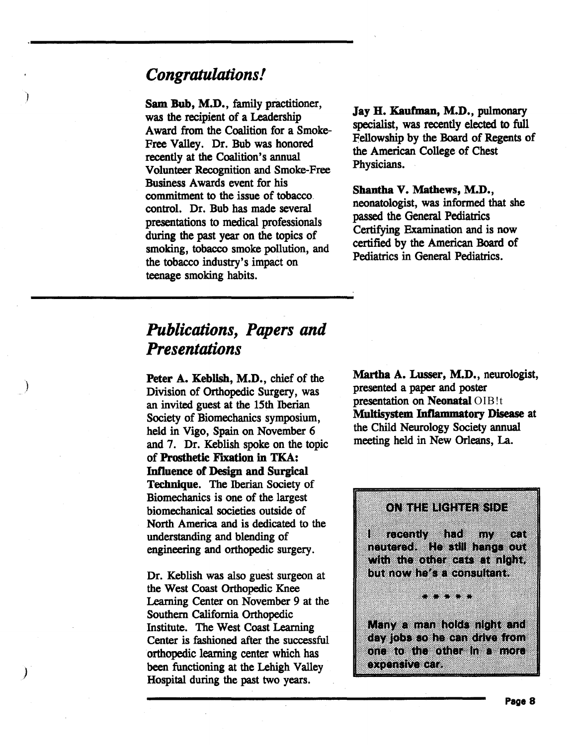### *Congratulations!*

)

)

Sam Bub, M.D., family practitioner, was the recipient of a Leadership Award from the Coalition for a Smoke-Free Valley. Dr. Bub was honored recently at the Coalition's annual Volunteer Recognition and Smoke-Free Business Awards event for his commitment to the issue of tobacco\_ control. Dr. Bub has made several presentations to medical professionals during the past year on the topics of smoking, tobacco smoke pollution, and the tobacco industry's impact on teenage smoking habits.

Jay H. Kaufman, M.D., pulmonary specialist, was recently elected to full Fellowship by the Board of Regents of the American College of Chest Physicians.

Shantha V. Mathews, M.D., neonatologist, was informed that she passed the General Pediatrics Certifying Examination and is now certified by the American Board of Pediatrics in General Pediatrics.

# *Publications, Papers and Presentations*

Peter A. Keblish, M.D., chief of the Division of Orthopedic Surgery, was an invited guest at the 15th Iberian Society of Biomechanics symposium, held in Vigo, Spain on November 6 and 7. Dr. Keblish spoke on the topic of Prosthetic Fixation in TKA: Influence of Design and Surgical Technique. The Iberian Society of Biomechanics is one of the largest biomechanical societies outside of North America and is dedicated to the understanding and blending of engineering and orthopedic surgery.

Dr. Keblish was also guest surgeon at the West Coast Orthopedic Knee Learning Center on November 9 at the Southern California Orthopedic Institute. The West Coast Learning Center is fashioned after the successful orthopedic learning center which has been functioning at the Lehigh Valley Hospital during the past two years.

Martha A. Lusser, M.D., neurologist, presented a paper and poster presentation on Neonatal OIB!t Multisystem Inflammatory Disease at the Child Neurology Society annual meeting held in New Orleans, La.

188 ICROBUT IN 1970 mv 67 neutered. He still hange out with the other each at night. but now he's a consultant.

ONIH ELIKERIST

Many a man holds night and day jobs so he can drive from one to the other has more ommun xen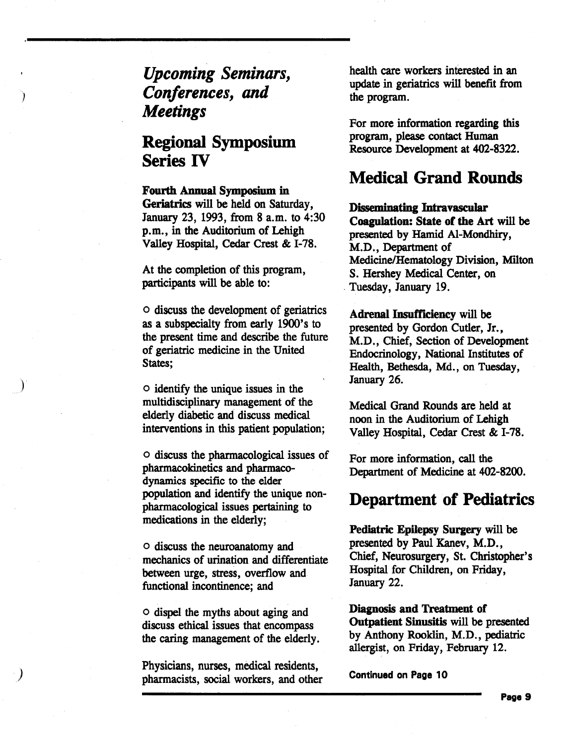*Upcoming Seminars, Conferences, and Meetings* 

)

)

## Regional Symposium Series IV

#### Fourth Annual Symposium in

Geriatrics will be held on Saturday, January 23, 1993, from 8 a.m. to 4:30 p.m., in the Auditorium of Lehigh Valley Hospital, Cedar Crest & 1-78.

At the completion of this program, participants will be able to:

o discuss the development of geriatrics as a subspecialty from early 1900's to the present time and describe the future of geriatric medicine in the United States;

o identify the unique issues in the multidisciplinary management of the elderly diabetic and discuss medical interventions in this patient population;

o discuss the pharmacological issues of pharmacokinetics and pharmacodynamics specific to the elder population and identify the unique nonpharmacological issues pertaining to medications in the elderly;

o discuss the neuroanatomy and mechanics of urination and differentiate between urge, stress, overflow and functional incontinence; and

o dispel the myths about aging and discuss ethical issues that encompass the caring management of the elderly.

Physicians, nurses, medical residents, pharmacists, social workers, and other health care workers interested in an update in geriatrics will benefit from the program.

For more information regarding this program, please contact Human Resource Development at 402-8322.

#### Medical Grand Rounds

Disseminating Intravascular Coagulation: State of the Art will be presented by Hamid Al-Mondhiry, M.D., Department of Medicine/Hematology Division, Milton S. Hershey Medical Center, on \_Tuesday, January 19.

Adrenal Insufficiency will be presented by Gordon Cutler, Jr., M.D., Chief, Section of Development Endocrinology, National Institutes of Health, Bethesda, Md., on Tuesday, January 26.

Medical Grand Rounds are held at noon in the Auditorium of Lehigh Valley Hospital, Cedar Crest & 1-78.

For more information, call the Department of Medicine at 402-8200.

#### Department of Pediatrics

Pediatric Epilepsy Surgery will be presented by Paul Kanev, M.D., Chief, Neurosurgery, St. Christopher's Hospital for Children, on Friday, January 22.

Diagnosis and Treatment of Outpatient Sinusitis will be presented by Anthony Rooklin, M.D., pediatric allergist, on Friday, February 12.

Continued on Page 10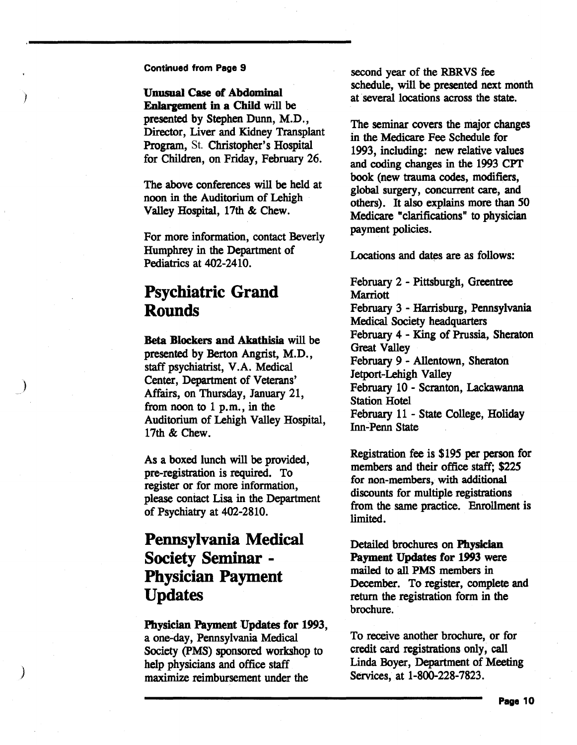#### Continued from Page 9

Unusual Case of Abdominal Enlargement in a Chlld will be presented by Stephen Dunn, M.D., Director, Liver and Kidney Transplant Program, St. Christopher's Hospital for Children, on Friday, February 26.

The above conferences will be held at noon in the Auditorium of Lehigh Valley Hospital, 17th & Chew.

For more information, contact Beverly Humphrey in the Department of Pediatrics at 402-2410.

# Psychiatric Grand Rounds

)

*)* 

Beta Blockers and Akathisia will be presented by Berton Angrist, M.D., staff psychiatrist, V.A. Medical Center, Department of Veterans' Affairs, on Thursday, January 21, from noon to 1 p.m., in the Auditorium of Lehigh Valley Hospital, 17th & Chew.

As a boxed lunch will be provided, pre-registration is required. To register or for more information, please contact Lisa in the Department of Psychiatry at 402-2810.

## Pennsylvania Medical Society Seminar - Physician Payment Updates

Pbysician Payment Updates for 1993, a one-day, Pennsylvania Medical Society (PMS) sponsored workshop to help physicians and office staff maximize reimbursement under the

second year of the RBRVS fee schedule, will be presented next month at several locations across the state.

The seminar covers the major changes in the Medicare Fee Schedule for 1993, including: new relative values and coding changes in the 1993 CPT book (new trauma codes, modifiers, global surgery, concurrent care, and others). It also explains more than 50 Medicare "clarifications" to physician payment policies.

Locations and dates are as follows:

February 2 - Pittsburgh, Greentree Marriott February 3 - Harrisburg, Pennsylvania Medical Society headquarters February 4 - King of Prussia, Sheraton Great Valley February 9 - Allentown, Sheraton Jetport-Lehigh Valley February 10- Scranton, Lackawanna Station Hotel February 11 - State College, Holiday Inn-Penn State

Registration fee is \$195 per person for members and their office staff; \$225 for non-members, with additional discounts for multiple registrations from the same practice. Enrollment is limited.

Detailed brochures on Physician Payment Updates for 1993 were mailed to all PMS members in December. To register, complete and return the registration form in the brochure.

To receive another brochure, or for credit card registrations only, call Linda Boyer, Department of Meeting Services, at 1-800-228-7823.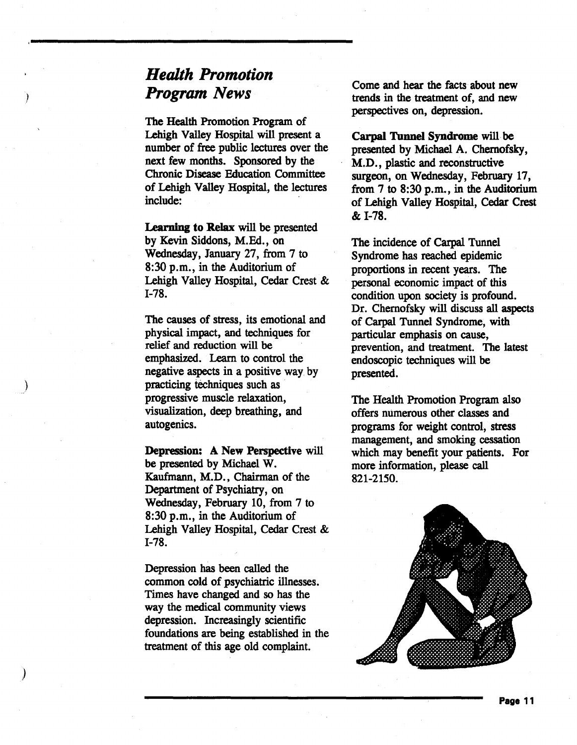# *Health Promotion Program News*

The Health Promotion Program of Lehigh Valley Hospital will present a number of free public lectures over the next few months. Sponsored by the Chronic Disease Education Committee of Lehigh Valley Hospital, the lectures include:

Learning to Relax will be presented by Kevin Siddons, M.Ed., on Wednesday, January 27, from 7 to  $8:30$  p.m., in the Auditorium of Lehigh Valley Hospital, Cedar Crest & 1-78.

The causes of stress, its emotional and physical impact, and techniques for relief and reduction will be emphasized. Learn to control the negative aspects in a positive way by practicing techniques such as progressive muscle relaxation, visualization, deep breathing, and autogenics.

)

)

Depression: A New Perspective will be presented by Michael W. Kaufmann, M.D., Chairman of the Department of Psychiatry, on Wednesday, February 10, from 7 to  $8:30$  p.m., in the Auditorium of Lehigh Valley Hospital, Cedar Crest & 1-78.

Depression has been called the common cold of psychiatric illnesses. Times have changed and so has the way the medical community views depression. Increasingly scientific foundations are being established in the treatment of this age old complaint.

Come and hear the facts about new trends in the treatment of, and new perspectives on, depression.

Carpal Tunnel Syndrome will- be presented by Michael A. Chernofsky, M.D., plastic and reconstructive surgeon, on Wednesday, February 17, from  $7$  to  $8:30$  p.m., in the Auditorium of Lehigh Valley Hospital, Cedar Crest & 1-78.

The incidence of Carpal Tunnel Syndrome has reached epidemic proportions in recent years. The personal economic impact of this condition upon society is profound. Dr. Chernofsky will discuss all aspects of Carpal Tunnel Syndrome, with particular emphasis on cause, prevention, and treatment. The latest endoscopic techniques will be presented.

The Health Promotion Program also offers numerous other classes and programs for weight control, stress management, and smoking cessation which may benefit your patients. For more information, please call 821-2150.

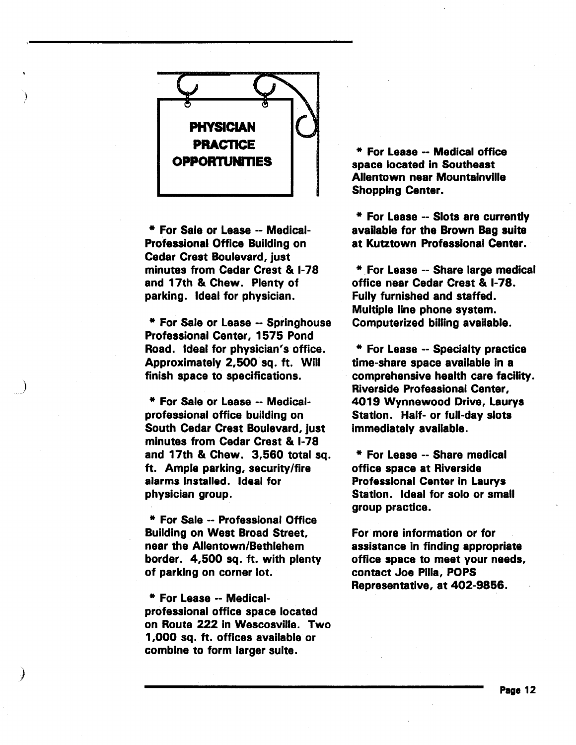

\* For Sale or Lease -- Medical-Professional Office Building on Cedar Crest Boulevard, just minutes from Cedar Crest & 1-78 and 17th & Chew. Plenty of parking. Ideal for physician.

\* For Sale or Lease -- Springhouse Professional Center, 1575 Pond Road. Ideal for physician's office. Approximately 2,500 sq. ft. Will finish space to specifications.

)

)

\* For Sale or Lease -- Medicalprofessional office building on South Cedar Crest Boulevard, just minutes from Cedar Crest & 1-78 and 17th & Chew. 3,560 total sq. ft. Ample parking, security/fire alarms installed. Ideal for physician group.

\* For Sale -- Professional Office Building on West Broad Street, near the Allentown/Bethlehem border. 4,500 sq. ft. with plenty of parking on corner lot.

\* For Lease -- Medicalprofessional office space located on Route 222 in Wescosville. Two 1,000 sq. ft. offices available or combine to form larger suite.

\* For Lease -- Medical office space located in Southeast Allentown near Mountainville Shopping Center.

\* For Lease -- Slots are currently available for the Brown Bag suite at Kutztown Professional Center.

\* For Lease -- Share large medical office near Cedar Crest & 1-78. Fully furnished and staffed. Multiple line phone system. Computerized billing available.

\* For Lease -- Specialty practice time-share space available in a comprehensive health care facility. Riverside Professional Center, 4019 Wynnewood Drive, Laurys Station. Half- or full-day slots immediately available.

\* For Lease -- Share medical office space at Riverside Professional Center in Laurys Station. Ideal for solo or small group practice.

For more information or for assistance in finding appropriate office space to meet your needs, contact Joe Pilla, POPS Representative, at 402-9856.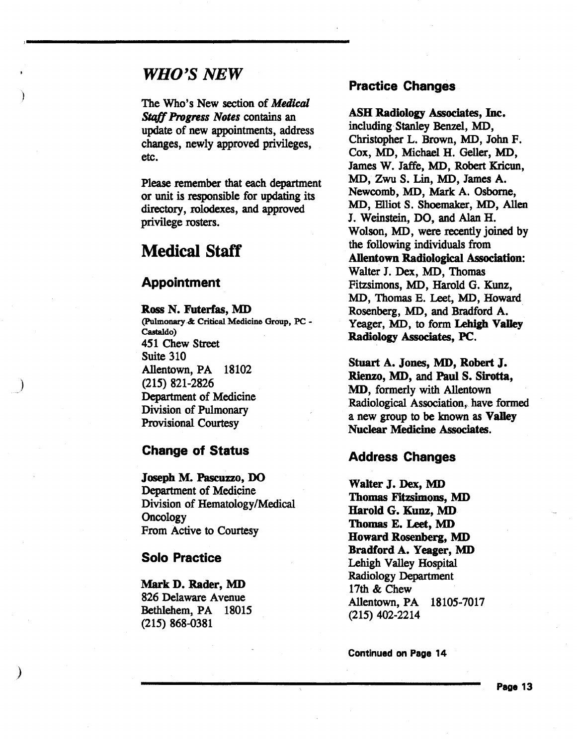#### *WHO'S NEW*

)

)

)

The Who's New section of *Medical*  Stqff *Progress Notes* contains an update of new appointments, address changes, newly approved privileges, etc.

Please remember that each department or unit is responsible for updating its directory, rolodexes, and approved privilege rosters.

### Medical Staff

#### Appointment

R.oss N. Futerfas, MD (Pulmonary & Critical Medicine Group, PC - Castaldo) 451 Chew Street Suite 310 Allentown, PA 18102 (215) 821-2826 Department of Medicine Division of Pulmonary Provisional Courtesy

#### Change of Status

Joseph M. Pascuzzo, DO Department of Medicine Division of Hematology/Medical **Oncology** From Active to Courtesy

#### Solo Practice

#### Mark D. Rader, MD

826 Delaware Avenue Bethlehem, PA 18015 (215) 868-0381

#### Practice Changes

ASH Radiology Associates, Inc. including Stanley Benzel, MD, Christopher L. Brown, MD, John F. Cox, MD, Michael H. Geller, MD, James W. Jaffe, MD, Robert Kricun, MD, Zwu S. Lin, MD, James A. Newcomb, MD, Mark A. Osborne, MD, Elliot S. Shoemaker, MD, Allen J. Weinstein, DO, and Alan H. Wolson, MD, were recently joined by the following individuals from Allentown Radiological Association: Walter J. Dex, MD, Thomas Fitzsimons, MD, Harold G. Kunz, MD, Thomas E. Leet, MD, Howard. Rosenberg, MD, and Bradford A. Yeager, MD, to form Lehigh Valley Radiology Associates, PC.

Stuart A. Jones, MD, Robert J. Rienzo, MD, and Paul S. Sirotta, MD, formerly with Allentown Radiological Association, have formed a new group to be known as Valley Nuclear Medicine Associates.

#### Address Changes

Walter J. Dex, MD Thomas Fitzsimons, MD Harold G. Kunz, MD Thomas E. Leet, MD Howard Rosenberg, MD Bradford A. Yeager, MD Lehigh Valley Hospital Radiology Department 17th & Chew Allentown, PA 18105-7017 (215) 402-2214

Continued on Page 14